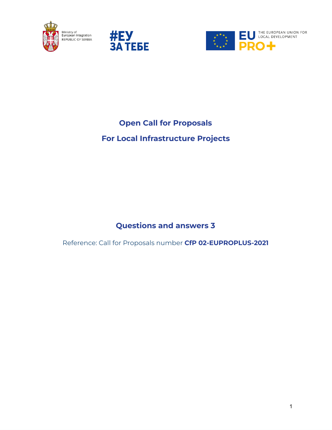





# **Open Call for Proposals**

# **For Local Infrastructure Projects**

## **Questions and answers 3**

Reference: Call for Proposals number **CfP 02-EUPROPLUS-2021**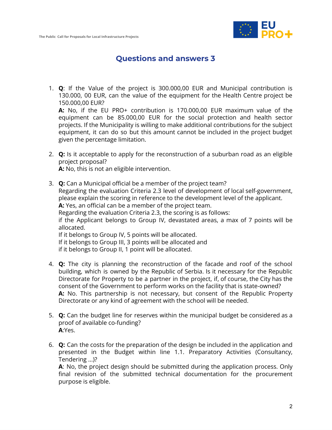

### **Questions and answers 3**

1. **Q**: If the Value of the project is 300.000,00 EUR and Municipal contribution is 130.000, 00 EUR, can the value of the equipment for the Health Centre project be 150.000,00 EUR?

**A:** No, if the EU PRO+ contribution is 170.000,00 EUR maximum value of the equipment can be 85.000,00 EUR for the social protection and health sector projects. If the Municipality is willing to make additional contributions for the subject equipment, it can do so but this amount cannot be included in the project budget given the percentage limitation.

2. **Q:** Is it acceptable to apply for the reconstruction of a suburban road as an eligible project proposal?

**A:** No, this is not an eligible intervention.

- 3. **Q:** Can a Municipal official be a member of the project team? Regarding the evaluation Criteria 2.3 level of development of local self-government, please explain the scoring in reference to the development level of the applicant. **A:** Yes, an official can be a member of the project team. Regarding the evaluation Criteria 2.3, the scoring is as follows: if the Applicant belongs to Group IV, devastated areas, a max of 7 points will be allocated. If it belongs to Group IV, 5 points will be allocated. If it belongs to Group III, 3 points will be allocated and if it belongs to Group II, 1 point will be allocated.
- 4. **Q:** The city is planning the reconstruction of the facade and roof of the school building, which is owned by the Republic of Serbia. Is it necessary for the Republic Directorate for Property to be a partner in the project, if, of course, the City has the consent of the Government to perform works on the facility that is state-owned? **A:** No. This partnership is not necessary, but consent of the Republic Property Directorate or any kind of agreement with the school will be needed.
- 5. **Q:** Can the budget line for reserves within the municipal budget be considered as a proof of available co-funding? **A**:Yes.
- 6. **Q:** Can the costs for the preparation of the design be included in the application and presented in the Budget within line 1.1. Preparatory Activities (Consultancy, Tendering ...)?

**A**: No, the project design should be submitted during the application process. Only final revision of the submitted technical documentation for the procurement purpose is eligible.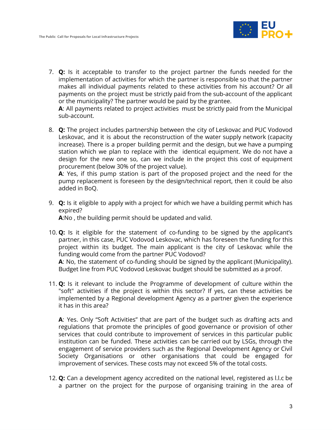

7. **Q:** Is it acceptable to transfer to the project partner the funds needed for the implementation of activities for which the partner is responsible so that the partner makes all individual payments related to these activities from his account? Or all payments on the project must be strictly paid from the sub-account of the applicant or the municipality? The partner would be paid by the grantee.

**A**: All payments related to project activities must be strictly paid from the Municipal sub-account.

8. **Q:** The project includes partnership between the city of Leskovac and PUC Vodovod Leskovac, and it is about the reconstruction of the water supply network (capacity increase). There is a proper building permit and the design, but we have a pumping station which we plan to replace with the identical equipment. We do not have a design for the new one so, can we include in the project this cost of equipment procurement (below 30% of the project value).

**A**: Yes, if this pump station is part of the proposed project and the need for the pump replacement is foreseen by the design/technical report, then it could be also added in BoQ.

9. **Q:** Is it eligible to apply with a project for which we have a building permit which has expired? **A**:No , the building permit should be updated and valid.

10. **Q:** Is it eligible for the statement of co-funding to be signed by the applicant's partner, in this case, PUC Vodovod Leskovac, which has foreseen the funding for this project within its budget. The main applicant is the city of Leskovac while the funding would come from the partner PUC Vodovod?

**A**: No, the statement of co-funding should be signed by the applicant (Municipality). Budget line from PUC Vodovod Leskovac budget should be submitted as a proof.

11. **Q:** Is it relevant to include the Programme of development of culture within the "soft" activities if the project is within this sector? If yes, can these activities be implemented by a Regional development Agency as a partner given the experience it has in this area?

**A**: Yes. Only "Soft Activities" that are part of the budget such as drafting acts and regulations that promote the principles of good governance or provision of other services that could contribute to improvement of services in this particular public institution can be funded. These activities can be carried out by LSGs, through the engagement of service providers such as the Regional Development Agency or Civil Society Organisations or other organisations that could be engaged for improvement of services. These costs may not exceed 5% of the total costs.

12. **Q:** Can a development agency accredited on the national level, registered as l.l.c be a partner on the project for the purpose of organising training in the area of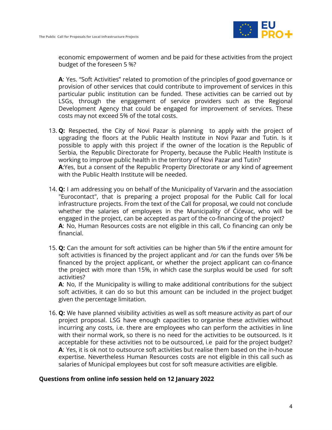

economic empowerment of women and be paid for these activities from the project budget of the foreseen 5 %?

**A**: Yes. "Soft Activities" related to promotion of the principles of good governance or provision of other services that could contribute to improvement of services in this particular public institution can be funded. These activities can be carried out by LSGs, through the engagement of service providers such as the Regional Development Agency that could be engaged for improvement of services. These costs may not exceed 5% of the total costs.

- 13. **Q:** Respected, the City of Novi Pazar is planning to apply with the project of upgrading the floors at the Public Health Institute in Novi Pazar and Tutin. Is it possible to apply with this project if the owner of the location is the Republic of Serbia, the Republic Directorate for Property, because the Public Health Institute is working to improve public health in the territory of Novi Pazar and Tutin? **A**:Yes, but a consent of the Republic Property Directorate or any kind of agreement with the Public Health Institute will be needed.
- 14. **Q:** I am addressing you on behalf of the Municipality of Varvarin and the association "Eurocontact", that is preparing a project proposal for the Public Call for local infrastructure projects. From the text of the Call for proposal, we could not conclude whether the salaries of employees in the Municipality of Ćićevac, who will be engaged in the project, can be accepted as part of the co-financing of the project? **A**: No, Human Resources costs are not eligible in this call, Co financing can only be financial.
- 15. **Q:** Can the amount for soft activities can be higher than 5% if the entire amount for soft activities is financed by the project applicant and /or can the funds over 5% be financed by the project applicant, or whether the project applicant can co-finance the project with more than 15%, in which case the surplus would be used for soft activities?

**A**: No, If the Municipality is willing to make additional contributions for the subject soft activities, it can do so but this amount can be included in the project budget given the percentage limitation.

16. **Q:** We have planned visibility activities as well as soft measure activity as part of our project proposal. LSG have enough capacities to organise these activities without incurring any costs, i.e. there are employees who can perform the activities in line with their normal work, so there is no need for the activities to be outsourced. Is it acceptable for these activities not to be outsourced, i.e paid for the project budget? **A**: Yes, it is ok not to outsource soft activities but realise them based on the in-house expertise. Nevertheless Human Resources costs are not eligible in this call such as salaries of Municipal employees but cost for soft measure activities are eligible.

#### **Questions from online info session held on 12 January 2022**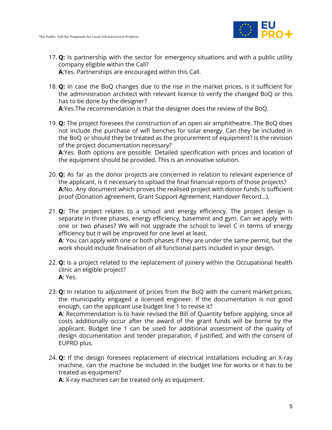

- 17. **Q:** Is partnership with the sector for emergency situations and with a public utility company eligible within the Call? **A**:Yes. Partnerships are encouraged within this Call.
- 18. **Q:** In case the BoQ changes due to the rise in the market prices, is it sufficient for the administration architect with relevant licence to verify the changed BoQ or this has to be done by the designer?

**A**:Yes.The recommendation is that the designer does the review of the BoQ.

19. **Q:** The project foresees the construction of an open air amphitheatre. The BoQ does not include the purchase of wifi benches for solar energy. Can they be included in the BoQ or should they be treated as the procurement of equipment? Is the revision of the project documentation necessary?

**A**:Yes. Both options are possible. Detailed specification with prices and location of the equipment should be provided. This is an innovative solution.

- 20. **Q:** As far as the donor projects are concerned in relation to relevant experience of the applicant, is it necessary to upload the final financial reports of those projects? **A**:No. Any document which proves the realised project with donor funds is sufficient proof (Donation agreement, Grant Support Agreement, Handover Record…).
- 21. **Q:** The project relates to a school and energy efficiency. The project design is separate in three phases, energy efficiency, basement and gym. Can we apply with one or two phases? We will not upgrade the school to level C in terms of energy efficiency but it will be improved for one level at least. **A**: You can apply with one or both phases if they are under the same permit, but the work should include finalisation of all functional parts included in your design.
- 22. **Q:** Is a project related to the replacement of joinery within the Occupational health clinic an eligible project? **A**: Yes.
- 23. **Q:** In relation to adjustment of prices from the BoQ with the current market prices, the municipality engaged a licensed engineer. If the documentation is not good enough, can the applicant use budget line 1 to revise it? **A**: Recommendation is to have revised the Bill of Quantity before applying, since all costs additionally occur after the award of the grant funds will be borne by the applicant. Budget line 1 can be used for additional assessment of the quality of design documentation and tender preparation, if justified, and with the consent of EUPRO plus.
- 24. **Q:** If the design foresees replacement of electrical installations including an X-ray machine, can the machine be included in the budget line for works or it has to be treated as equipment?

**A**: X-ray machines can be treated only as equipment.